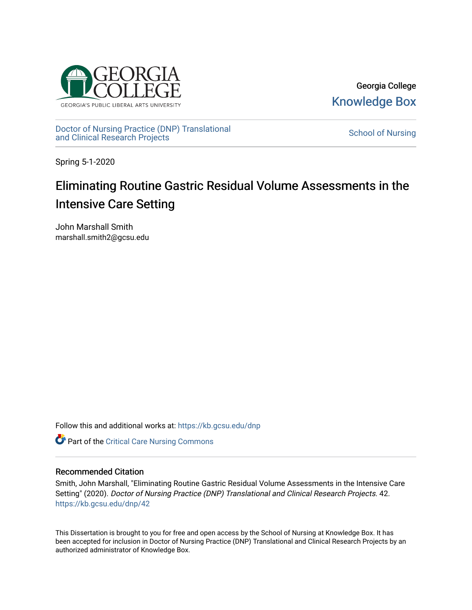

Georgia College [Knowledge Box](https://kb.gcsu.edu/) 

[Doctor of Nursing Practice \(DNP\) Translational](https://kb.gcsu.edu/dnp)  Doctor of Nursing Practice (DNP) Translational control of Nursing [School of Nursing](https://kb.gcsu.edu/snc) and Clinical Research Projects

Spring 5-1-2020

### Eliminating Routine Gastric Residual Volume Assessments in the Intensive Care Setting

John Marshall Smith marshall.smith2@gcsu.edu

Follow this and additional works at: [https://kb.gcsu.edu/dnp](https://kb.gcsu.edu/dnp?utm_source=kb.gcsu.edu%2Fdnp%2F42&utm_medium=PDF&utm_campaign=PDFCoverPages) 

**C** Part of the [Critical Care Nursing Commons](http://network.bepress.com/hgg/discipline/727?utm_source=kb.gcsu.edu%2Fdnp%2F42&utm_medium=PDF&utm_campaign=PDFCoverPages)

#### Recommended Citation

Smith, John Marshall, "Eliminating Routine Gastric Residual Volume Assessments in the Intensive Care Setting" (2020). Doctor of Nursing Practice (DNP) Translational and Clinical Research Projects. 42. [https://kb.gcsu.edu/dnp/42](https://kb.gcsu.edu/dnp/42?utm_source=kb.gcsu.edu%2Fdnp%2F42&utm_medium=PDF&utm_campaign=PDFCoverPages) 

This Dissertation is brought to you for free and open access by the School of Nursing at Knowledge Box. It has been accepted for inclusion in Doctor of Nursing Practice (DNP) Translational and Clinical Research Projects by an authorized administrator of Knowledge Box.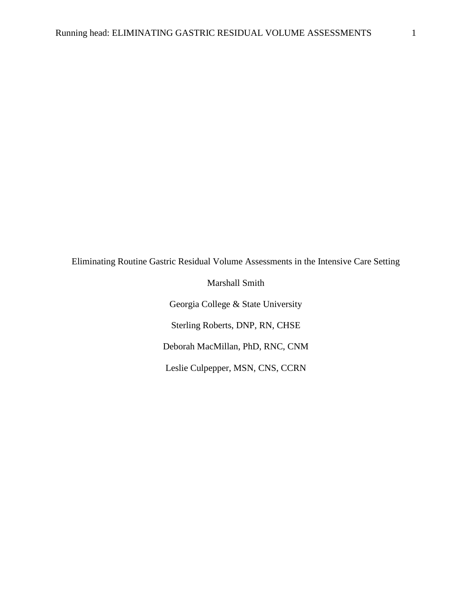Eliminating Routine Gastric Residual Volume Assessments in the Intensive Care Setting

Marshall Smith Georgia College & State University Sterling Roberts, DNP, RN, CHSE Deborah MacMillan, PhD, RNC, CNM Leslie Culpepper, MSN, CNS, CCRN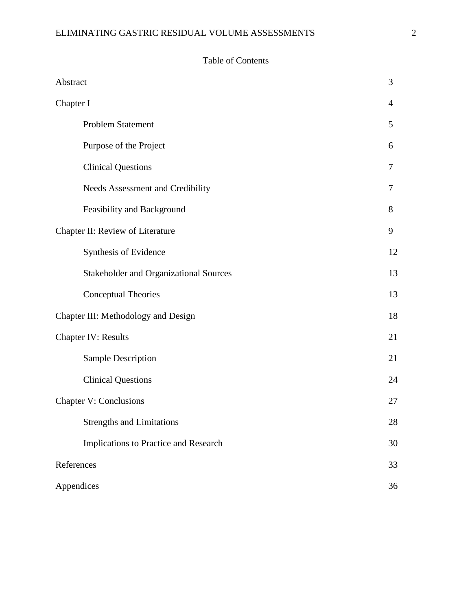#### ELIMINATING GASTRIC RESIDUAL VOLUME ASSESSMENTS  $2$

#### Table of Contents

| Abstract                                      | 3              |
|-----------------------------------------------|----------------|
| Chapter I                                     | $\overline{4}$ |
| Problem Statement                             | 5              |
| Purpose of the Project                        | 6              |
| <b>Clinical Questions</b>                     | $\overline{7}$ |
| Needs Assessment and Credibility              | 7              |
| Feasibility and Background                    | 8              |
| Chapter II: Review of Literature              | 9              |
| Synthesis of Evidence                         | 12             |
| <b>Stakeholder and Organizational Sources</b> | 13             |
| Conceptual Theories                           | 13             |
| Chapter III: Methodology and Design           | 18             |
| <b>Chapter IV: Results</b>                    | 21             |
| <b>Sample Description</b>                     | 21             |
| <b>Clinical Questions</b>                     | 24             |
| <b>Chapter V: Conclusions</b>                 | 27             |
| <b>Strengths and Limitations</b>              | 28             |
| Implications to Practice and Research         | 30             |
| References                                    | 33             |
| Appendices                                    | 36             |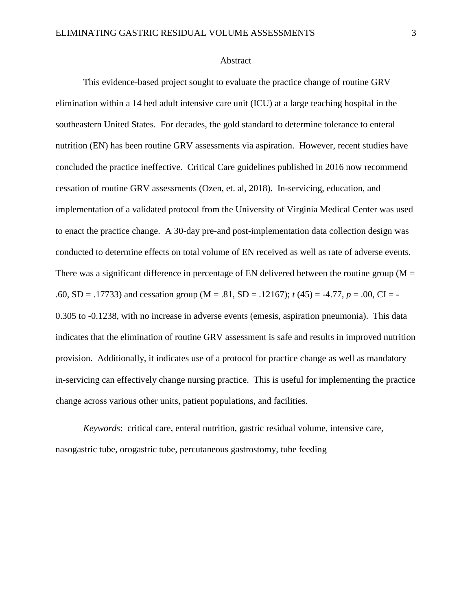#### Abstract

This evidence-based project sought to evaluate the practice change of routine GRV elimination within a 14 bed adult intensive care unit (ICU) at a large teaching hospital in the southeastern United States. For decades, the gold standard to determine tolerance to enteral nutrition (EN) has been routine GRV assessments via aspiration. However, recent studies have concluded the practice ineffective. Critical Care guidelines published in 2016 now recommend cessation of routine GRV assessments (Ozen, et. al, 2018). In-servicing, education, and implementation of a validated protocol from the University of Virginia Medical Center was used to enact the practice change. A 30-day pre-and post-implementation data collection design was conducted to determine effects on total volume of EN received as well as rate of adverse events. There was a significant difference in percentage of EN delivered between the routine group ( $M =$ .60, SD = .17733) and cessation group (M = .81, SD = .12167); *t* (45) = -4.77, *p* = .00, CI = - 0.305 to -0.1238, with no increase in adverse events (emesis, aspiration pneumonia). This data indicates that the elimination of routine GRV assessment is safe and results in improved nutrition provision. Additionally, it indicates use of a protocol for practice change as well as mandatory in-servicing can effectively change nursing practice. This is useful for implementing the practice change across various other units, patient populations, and facilities.

*Keywords*: critical care, enteral nutrition, gastric residual volume, intensive care, nasogastric tube, orogastric tube, percutaneous gastrostomy, tube feeding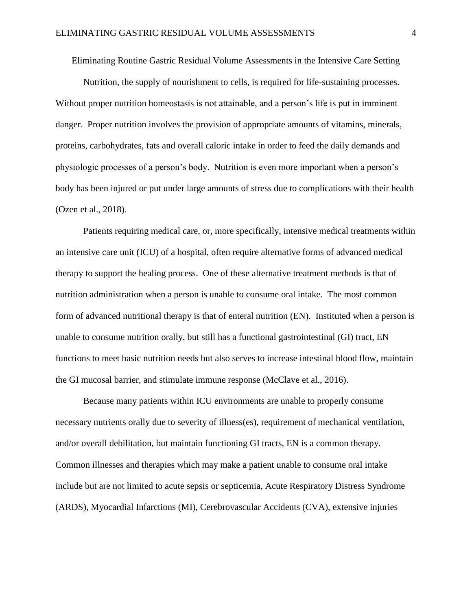Eliminating Routine Gastric Residual Volume Assessments in the Intensive Care Setting

Nutrition, the supply of nourishment to cells, is required for life-sustaining processes. Without proper nutrition homeostasis is not attainable, and a person's life is put in imminent danger. Proper nutrition involves the provision of appropriate amounts of vitamins, minerals, proteins, carbohydrates, fats and overall caloric intake in order to feed the daily demands and physiologic processes of a person's body. Nutrition is even more important when a person's body has been injured or put under large amounts of stress due to complications with their health (Ozen et al., 2018).

Patients requiring medical care, or, more specifically, intensive medical treatments within an intensive care unit (ICU) of a hospital, often require alternative forms of advanced medical therapy to support the healing process. One of these alternative treatment methods is that of nutrition administration when a person is unable to consume oral intake. The most common form of advanced nutritional therapy is that of enteral nutrition (EN). Instituted when a person is unable to consume nutrition orally, but still has a functional gastrointestinal (GI) tract, EN functions to meet basic nutrition needs but also serves to increase intestinal blood flow, maintain the GI mucosal barrier, and stimulate immune response (McClave et al., 2016).

Because many patients within ICU environments are unable to properly consume necessary nutrients orally due to severity of illness(es), requirement of mechanical ventilation, and/or overall debilitation, but maintain functioning GI tracts, EN is a common therapy. Common illnesses and therapies which may make a patient unable to consume oral intake include but are not limited to acute sepsis or septicemia, Acute Respiratory Distress Syndrome (ARDS), Myocardial Infarctions (MI), Cerebrovascular Accidents (CVA), extensive injuries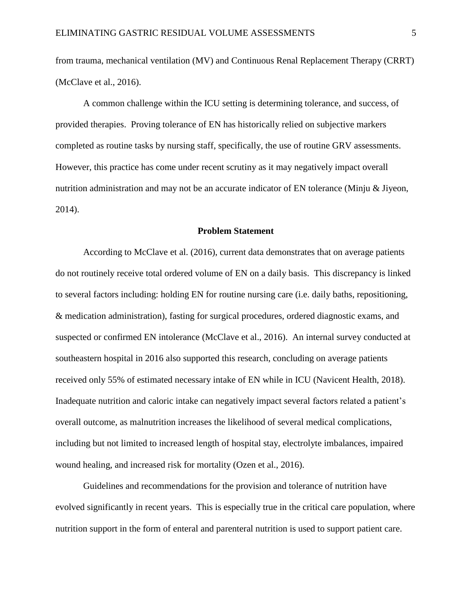from trauma, mechanical ventilation (MV) and Continuous Renal Replacement Therapy (CRRT) (McClave et al., 2016).

A common challenge within the ICU setting is determining tolerance, and success, of provided therapies. Proving tolerance of EN has historically relied on subjective markers completed as routine tasks by nursing staff, specifically, the use of routine GRV assessments. However, this practice has come under recent scrutiny as it may negatively impact overall nutrition administration and may not be an accurate indicator of EN tolerance (Minju & Jiyeon, 2014).

#### **Problem Statement**

According to McClave et al. (2016), current data demonstrates that on average patients do not routinely receive total ordered volume of EN on a daily basis. This discrepancy is linked to several factors including: holding EN for routine nursing care (i.e. daily baths, repositioning, & medication administration), fasting for surgical procedures, ordered diagnostic exams, and suspected or confirmed EN intolerance (McClave et al., 2016). An internal survey conducted at southeastern hospital in 2016 also supported this research, concluding on average patients received only 55% of estimated necessary intake of EN while in ICU (Navicent Health, 2018). Inadequate nutrition and caloric intake can negatively impact several factors related a patient's overall outcome, as malnutrition increases the likelihood of several medical complications, including but not limited to increased length of hospital stay, electrolyte imbalances, impaired wound healing, and increased risk for mortality (Ozen et al., 2016).

Guidelines and recommendations for the provision and tolerance of nutrition have evolved significantly in recent years. This is especially true in the critical care population, where nutrition support in the form of enteral and parenteral nutrition is used to support patient care.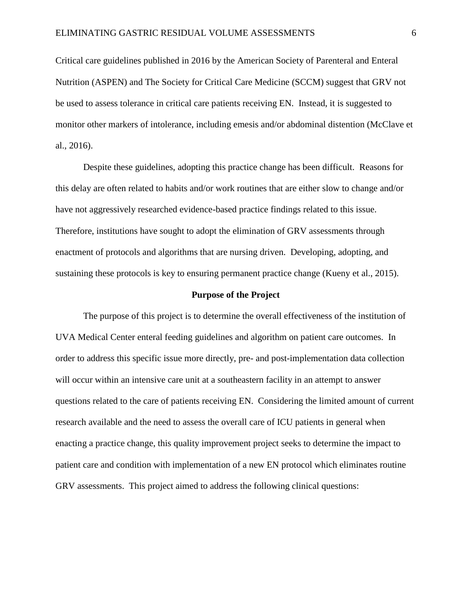Critical care guidelines published in 2016 by the American Society of Parenteral and Enteral Nutrition (ASPEN) and The Society for Critical Care Medicine (SCCM) suggest that GRV not be used to assess tolerance in critical care patients receiving EN. Instead, it is suggested to monitor other markers of intolerance, including emesis and/or abdominal distention (McClave et al., 2016).

Despite these guidelines, adopting this practice change has been difficult. Reasons for this delay are often related to habits and/or work routines that are either slow to change and/or have not aggressively researched evidence-based practice findings related to this issue. Therefore, institutions have sought to adopt the elimination of GRV assessments through enactment of protocols and algorithms that are nursing driven. Developing, adopting, and sustaining these protocols is key to ensuring permanent practice change (Kueny et al., 2015).

#### **Purpose of the Project**

The purpose of this project is to determine the overall effectiveness of the institution of UVA Medical Center enteral feeding guidelines and algorithm on patient care outcomes. In order to address this specific issue more directly, pre- and post-implementation data collection will occur within an intensive care unit at a southeastern facility in an attempt to answer questions related to the care of patients receiving EN. Considering the limited amount of current research available and the need to assess the overall care of ICU patients in general when enacting a practice change, this quality improvement project seeks to determine the impact to patient care and condition with implementation of a new EN protocol which eliminates routine GRV assessments. This project aimed to address the following clinical questions: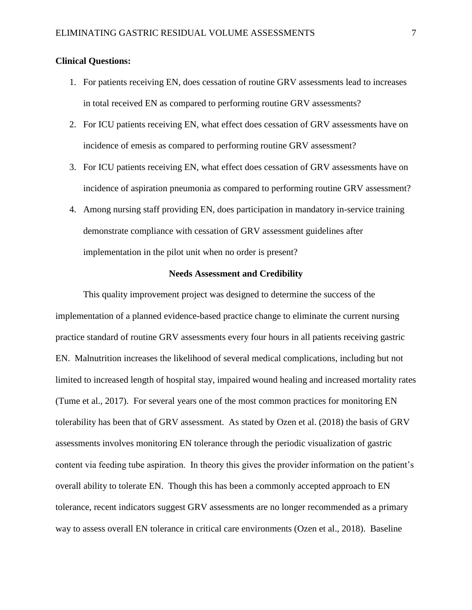#### **Clinical Questions:**

- 1. For patients receiving EN, does cessation of routine GRV assessments lead to increases in total received EN as compared to performing routine GRV assessments?
- 2. For ICU patients receiving EN, what effect does cessation of GRV assessments have on incidence of emesis as compared to performing routine GRV assessment?
- 3. For ICU patients receiving EN, what effect does cessation of GRV assessments have on incidence of aspiration pneumonia as compared to performing routine GRV assessment?
- 4. Among nursing staff providing EN, does participation in mandatory in-service training demonstrate compliance with cessation of GRV assessment guidelines after implementation in the pilot unit when no order is present?

#### **Needs Assessment and Credibility**

This quality improvement project was designed to determine the success of the implementation of a planned evidence-based practice change to eliminate the current nursing practice standard of routine GRV assessments every four hours in all patients receiving gastric EN. Malnutrition increases the likelihood of several medical complications, including but not limited to increased length of hospital stay, impaired wound healing and increased mortality rates (Tume et al., 2017). For several years one of the most common practices for monitoring EN tolerability has been that of GRV assessment. As stated by Ozen et al. (2018) the basis of GRV assessments involves monitoring EN tolerance through the periodic visualization of gastric content via feeding tube aspiration. In theory this gives the provider information on the patient's overall ability to tolerate EN. Though this has been a commonly accepted approach to EN tolerance, recent indicators suggest GRV assessments are no longer recommended as a primary way to assess overall EN tolerance in critical care environments (Ozen et al., 2018). Baseline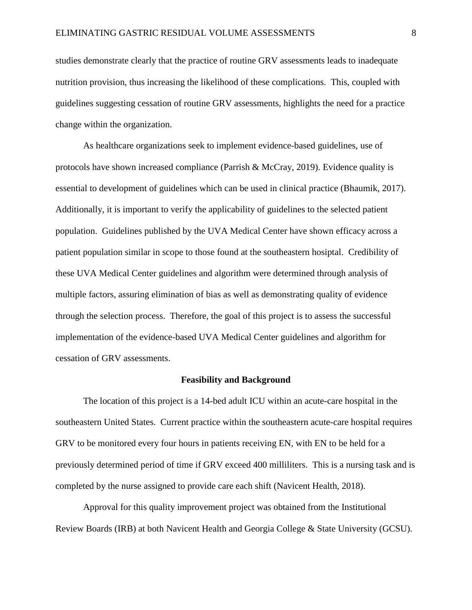studies demonstrate clearly that the practice of routine GRV assessments leads to inadequate nutrition provision, thus increasing the likelihood of these complications. This, coupled with guidelines suggesting cessation of routine GRV assessments, highlights the need for a practice change within the organization.

As healthcare organizations seek to implement evidence-based guidelines, use of protocols have shown increased compliance (Parrish & McCray, 2019). Evidence quality is essential to development of guidelines which can be used in clinical practice (Bhaumik, 2017). Additionally, it is important to verify the applicability of guidelines to the selected patient population. Guidelines published by the UVA Medical Center have shown efficacy across a patient population similar in scope to those found at the southeastern hosiptal. Credibility of these UVA Medical Center guidelines and algorithm were determined through analysis of multiple factors, assuring elimination of bias as well as demonstrating quality of evidence through the selection process. Therefore, the goal of this project is to assess the successful implementation of the evidence-based UVA Medical Center guidelines and algorithm for cessation of GRV assessments.

#### **Feasibility and Background**

The location of this project is a 14-bed adult ICU within an acute-care hospital in the southeastern United States. Current practice within the southeastern acute-care hospital requires GRV to be monitored every four hours in patients receiving EN, with EN to be held for a previously determined period of time if GRV exceed 400 milliliters. This is a nursing task and is completed by the nurse assigned to provide care each shift (Navicent Health, 2018).

Approval for this quality improvement project was obtained from the Institutional Review Boards (IRB) at both Navicent Health and Georgia College & State University (GCSU).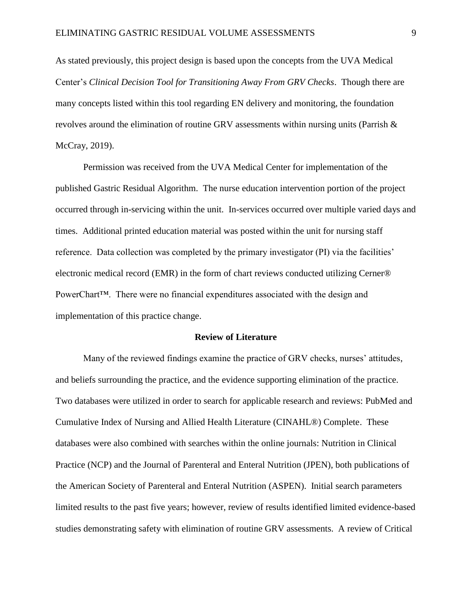As stated previously, this project design is based upon the concepts from the UVA Medical Center's *Clinical Decision Tool for Transitioning Away From GRV Checks*. Though there are many concepts listed within this tool regarding EN delivery and monitoring, the foundation revolves around the elimination of routine GRV assessments within nursing units (Parrish & McCray, 2019).

Permission was received from the UVA Medical Center for implementation of the published Gastric Residual Algorithm. The nurse education intervention portion of the project occurred through in-servicing within the unit. In-services occurred over multiple varied days and times. Additional printed education material was posted within the unit for nursing staff reference. Data collection was completed by the primary investigator (PI) via the facilities' electronic medical record (EMR) in the form of chart reviews conducted utilizing Cerner® PowerChart™. There were no financial expenditures associated with the design and implementation of this practice change.

#### **Review of Literature**

Many of the reviewed findings examine the practice of GRV checks, nurses' attitudes, and beliefs surrounding the practice, and the evidence supporting elimination of the practice. Two databases were utilized in order to search for applicable research and reviews: PubMed and Cumulative Index of Nursing and Allied Health Literature (CINAHL®) Complete. These databases were also combined with searches within the online journals: Nutrition in Clinical Practice (NCP) and the Journal of Parenteral and Enteral Nutrition (JPEN), both publications of the American Society of Parenteral and Enteral Nutrition (ASPEN). Initial search parameters limited results to the past five years; however, review of results identified limited evidence-based studies demonstrating safety with elimination of routine GRV assessments. A review of Critical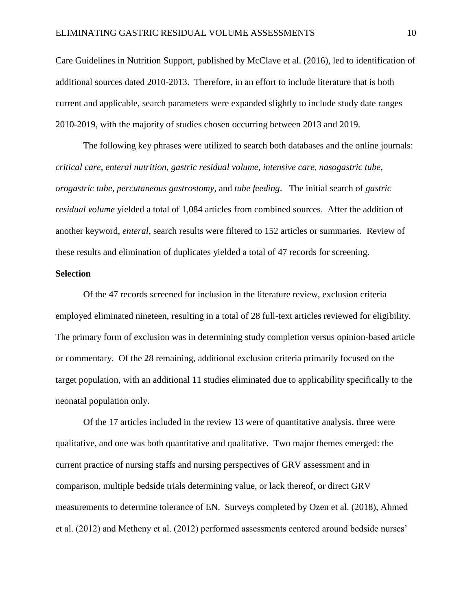Care Guidelines in Nutrition Support, published by McClave et al. (2016), led to identification of additional sources dated 2010-2013. Therefore, in an effort to include literature that is both current and applicable, search parameters were expanded slightly to include study date ranges 2010-2019, with the majority of studies chosen occurring between 2013 and 2019.

The following key phrases were utilized to search both databases and the online journals: *critical care, enteral nutrition, gastric residual volume, intensive care, nasogastric tube, orogastric tube, percutaneous gastrostomy,* and *tube feeding*. The initial search of *gastric residual volume* yielded a total of 1,084 articles from combined sources. After the addition of another keyword, *enteral*, search results were filtered to 152 articles or summaries. Review of these results and elimination of duplicates yielded a total of 47 records for screening.

#### **Selection**

Of the 47 records screened for inclusion in the literature review, exclusion criteria employed eliminated nineteen, resulting in a total of 28 full-text articles reviewed for eligibility. The primary form of exclusion was in determining study completion versus opinion-based article or commentary. Of the 28 remaining, additional exclusion criteria primarily focused on the target population, with an additional 11 studies eliminated due to applicability specifically to the neonatal population only.

Of the 17 articles included in the review 13 were of quantitative analysis, three were qualitative, and one was both quantitative and qualitative. Two major themes emerged: the current practice of nursing staffs and nursing perspectives of GRV assessment and in comparison, multiple bedside trials determining value, or lack thereof, or direct GRV measurements to determine tolerance of EN. Surveys completed by Ozen et al. (2018), Ahmed et al. (2012) and Metheny et al. (2012) performed assessments centered around bedside nurses'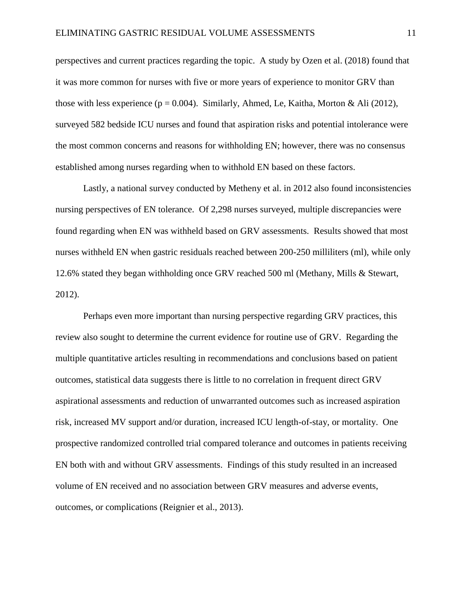perspectives and current practices regarding the topic. A study by Ozen et al. (2018) found that it was more common for nurses with five or more years of experience to monitor GRV than those with less experience ( $p = 0.004$ ). Similarly, Ahmed, Le, Kaitha, Morton & Ali (2012), surveyed 582 bedside ICU nurses and found that aspiration risks and potential intolerance were the most common concerns and reasons for withholding EN; however, there was no consensus established among nurses regarding when to withhold EN based on these factors.

Lastly, a national survey conducted by Metheny et al. in 2012 also found inconsistencies nursing perspectives of EN tolerance. Of 2,298 nurses surveyed, multiple discrepancies were found regarding when EN was withheld based on GRV assessments. Results showed that most nurses withheld EN when gastric residuals reached between 200-250 milliliters (ml), while only 12.6% stated they began withholding once GRV reached 500 ml (Methany, Mills & Stewart, 2012).

Perhaps even more important than nursing perspective regarding GRV practices, this review also sought to determine the current evidence for routine use of GRV. Regarding the multiple quantitative articles resulting in recommendations and conclusions based on patient outcomes, statistical data suggests there is little to no correlation in frequent direct GRV aspirational assessments and reduction of unwarranted outcomes such as increased aspiration risk, increased MV support and/or duration, increased ICU length-of-stay, or mortality. One prospective randomized controlled trial compared tolerance and outcomes in patients receiving EN both with and without GRV assessments. Findings of this study resulted in an increased volume of EN received and no association between GRV measures and adverse events, outcomes, or complications (Reignier et al., 2013).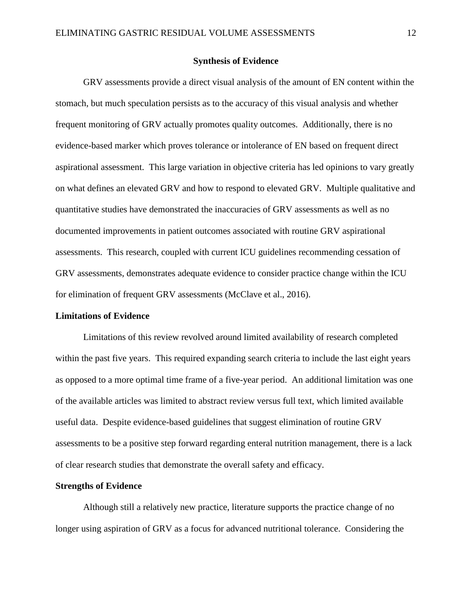#### **Synthesis of Evidence**

GRV assessments provide a direct visual analysis of the amount of EN content within the stomach, but much speculation persists as to the accuracy of this visual analysis and whether frequent monitoring of GRV actually promotes quality outcomes. Additionally, there is no evidence-based marker which proves tolerance or intolerance of EN based on frequent direct aspirational assessment. This large variation in objective criteria has led opinions to vary greatly on what defines an elevated GRV and how to respond to elevated GRV. Multiple qualitative and quantitative studies have demonstrated the inaccuracies of GRV assessments as well as no documented improvements in patient outcomes associated with routine GRV aspirational assessments. This research, coupled with current ICU guidelines recommending cessation of GRV assessments, demonstrates adequate evidence to consider practice change within the ICU for elimination of frequent GRV assessments (McClave et al., 2016).

#### **Limitations of Evidence**

Limitations of this review revolved around limited availability of research completed within the past five years. This required expanding search criteria to include the last eight years as opposed to a more optimal time frame of a five-year period. An additional limitation was one of the available articles was limited to abstract review versus full text, which limited available useful data. Despite evidence-based guidelines that suggest elimination of routine GRV assessments to be a positive step forward regarding enteral nutrition management, there is a lack of clear research studies that demonstrate the overall safety and efficacy.

#### **Strengths of Evidence**

Although still a relatively new practice, literature supports the practice change of no longer using aspiration of GRV as a focus for advanced nutritional tolerance. Considering the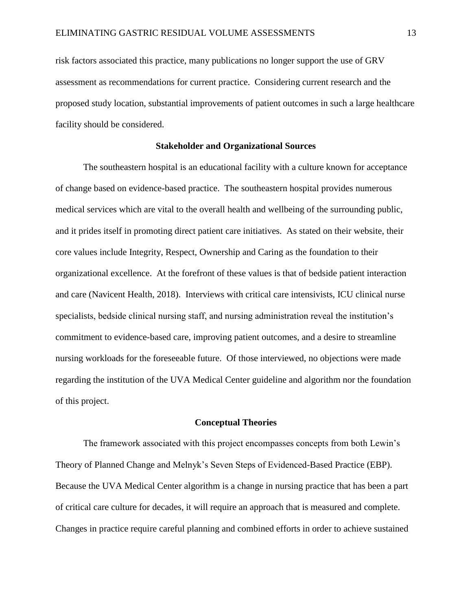risk factors associated this practice, many publications no longer support the use of GRV assessment as recommendations for current practice. Considering current research and the proposed study location, substantial improvements of patient outcomes in such a large healthcare facility should be considered.

#### **Stakeholder and Organizational Sources**

The southeastern hospital is an educational facility with a culture known for acceptance of change based on evidence-based practice. The southeastern hospital provides numerous medical services which are vital to the overall health and wellbeing of the surrounding public, and it prides itself in promoting direct patient care initiatives. As stated on their website, their core values include Integrity, Respect, Ownership and Caring as the foundation to their organizational excellence. At the forefront of these values is that of bedside patient interaction and care (Navicent Health, 2018). Interviews with critical care intensivists, ICU clinical nurse specialists, bedside clinical nursing staff, and nursing administration reveal the institution's commitment to evidence-based care, improving patient outcomes, and a desire to streamline nursing workloads for the foreseeable future. Of those interviewed, no objections were made regarding the institution of the UVA Medical Center guideline and algorithm nor the foundation of this project.

#### **Conceptual Theories**

The framework associated with this project encompasses concepts from both Lewin's Theory of Planned Change and Melnyk's Seven Steps of Evidenced-Based Practice (EBP). Because the UVA Medical Center algorithm is a change in nursing practice that has been a part of critical care culture for decades, it will require an approach that is measured and complete. Changes in practice require careful planning and combined efforts in order to achieve sustained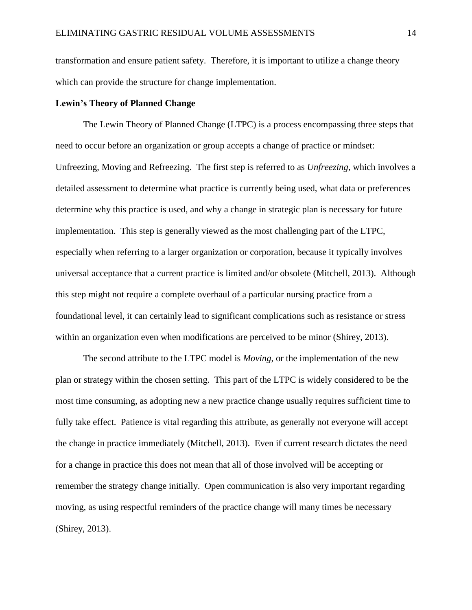transformation and ensure patient safety. Therefore, it is important to utilize a change theory which can provide the structure for change implementation.

#### **Lewin's Theory of Planned Change**

The Lewin Theory of Planned Change (LTPC) is a process encompassing three steps that need to occur before an organization or group accepts a change of practice or mindset: Unfreezing, Moving and Refreezing. The first step is referred to as *Unfreezing*, which involves a detailed assessment to determine what practice is currently being used, what data or preferences determine why this practice is used, and why a change in strategic plan is necessary for future implementation. This step is generally viewed as the most challenging part of the LTPC, especially when referring to a larger organization or corporation, because it typically involves universal acceptance that a current practice is limited and/or obsolete (Mitchell, 2013). Although this step might not require a complete overhaul of a particular nursing practice from a foundational level, it can certainly lead to significant complications such as resistance or stress within an organization even when modifications are perceived to be minor (Shirey, 2013).

The second attribute to the LTPC model is *Moving*, or the implementation of the new plan or strategy within the chosen setting. This part of the LTPC is widely considered to be the most time consuming, as adopting new a new practice change usually requires sufficient time to fully take effect. Patience is vital regarding this attribute, as generally not everyone will accept the change in practice immediately (Mitchell, 2013). Even if current research dictates the need for a change in practice this does not mean that all of those involved will be accepting or remember the strategy change initially. Open communication is also very important regarding moving, as using respectful reminders of the practice change will many times be necessary (Shirey, 2013).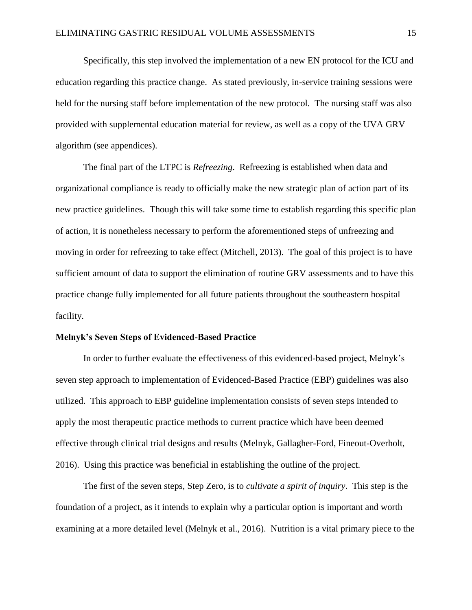Specifically, this step involved the implementation of a new EN protocol for the ICU and education regarding this practice change. As stated previously, in-service training sessions were held for the nursing staff before implementation of the new protocol. The nursing staff was also provided with supplemental education material for review, as well as a copy of the UVA GRV algorithm (see appendices).

The final part of the LTPC is *Refreezing*. Refreezing is established when data and organizational compliance is ready to officially make the new strategic plan of action part of its new practice guidelines. Though this will take some time to establish regarding this specific plan of action, it is nonetheless necessary to perform the aforementioned steps of unfreezing and moving in order for refreezing to take effect (Mitchell, 2013). The goal of this project is to have sufficient amount of data to support the elimination of routine GRV assessments and to have this practice change fully implemented for all future patients throughout the southeastern hospital facility.

#### **Melnyk's Seven Steps of Evidenced-Based Practice**

In order to further evaluate the effectiveness of this evidenced-based project, Melnyk's seven step approach to implementation of Evidenced-Based Practice (EBP) guidelines was also utilized. This approach to EBP guideline implementation consists of seven steps intended to apply the most therapeutic practice methods to current practice which have been deemed effective through clinical trial designs and results (Melnyk, Gallagher-Ford, Fineout-Overholt, 2016). Using this practice was beneficial in establishing the outline of the project.

The first of the seven steps, Step Zero, is to *cultivate a spirit of inquiry*. This step is the foundation of a project, as it intends to explain why a particular option is important and worth examining at a more detailed level (Melnyk et al., 2016). Nutrition is a vital primary piece to the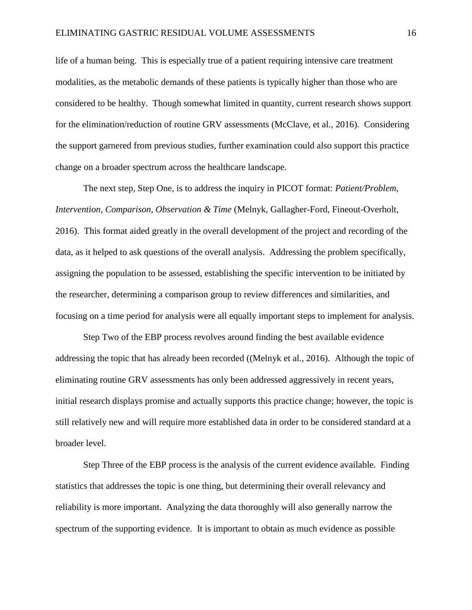life of a human being. This is especially true of a patient requiring intensive care treatment modalities, as the metabolic demands of these patients is typically higher than those who are considered to be healthy. Though somewhat limited in quantity, current research shows support for the elimination/reduction of routine GRV assessments (McClave, et al., 2016). Considering the support garnered from previous studies, further examination could also support this practice change on a broader spectrum across the healthcare landscape.

The next step, Step One, is to address the inquiry in PICOT format: *Patient/Problem, Intervention, Comparison, Observation & Time* (Melnyk, Gallagher-Ford, Fineout-Overholt, 2016). This format aided greatly in the overall development of the project and recording of the data, as it helped to ask questions of the overall analysis. Addressing the problem specifically, assigning the population to be assessed, establishing the specific intervention to be initiated by the researcher, determining a comparison group to review differences and similarities, and focusing on a time period for analysis were all equally important steps to implement for analysis.

Step Two of the EBP process revolves around finding the best available evidence addressing the topic that has already been recorded ((Melnyk et al., 2016). Although the topic of eliminating routine GRV assessments has only been addressed aggressively in recent years, initial research displays promise and actually supports this practice change; however, the topic is still relatively new and will require more established data in order to be considered standard at a broader level.

Step Three of the EBP process is the analysis of the current evidence available. Finding statistics that addresses the topic is one thing, but determining their overall relevancy and reliability is more important. Analyzing the data thoroughly will also generally narrow the spectrum of the supporting evidence. It is important to obtain as much evidence as possible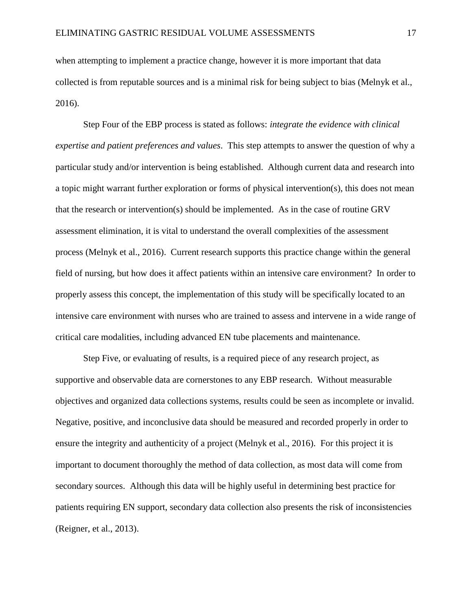when attempting to implement a practice change, however it is more important that data collected is from reputable sources and is a minimal risk for being subject to bias (Melnyk et al., 2016).

Step Four of the EBP process is stated as follows: *integrate the evidence with clinical expertise and patient preferences and values*. This step attempts to answer the question of why a particular study and/or intervention is being established. Although current data and research into a topic might warrant further exploration or forms of physical intervention(s), this does not mean that the research or intervention(s) should be implemented. As in the case of routine GRV assessment elimination, it is vital to understand the overall complexities of the assessment process (Melnyk et al., 2016). Current research supports this practice change within the general field of nursing, but how does it affect patients within an intensive care environment? In order to properly assess this concept, the implementation of this study will be specifically located to an intensive care environment with nurses who are trained to assess and intervene in a wide range of critical care modalities, including advanced EN tube placements and maintenance.

Step Five, or evaluating of results, is a required piece of any research project, as supportive and observable data are cornerstones to any EBP research. Without measurable objectives and organized data collections systems, results could be seen as incomplete or invalid. Negative, positive, and inconclusive data should be measured and recorded properly in order to ensure the integrity and authenticity of a project (Melnyk et al., 2016). For this project it is important to document thoroughly the method of data collection, as most data will come from secondary sources. Although this data will be highly useful in determining best practice for patients requiring EN support, secondary data collection also presents the risk of inconsistencies (Reigner, et al., 2013).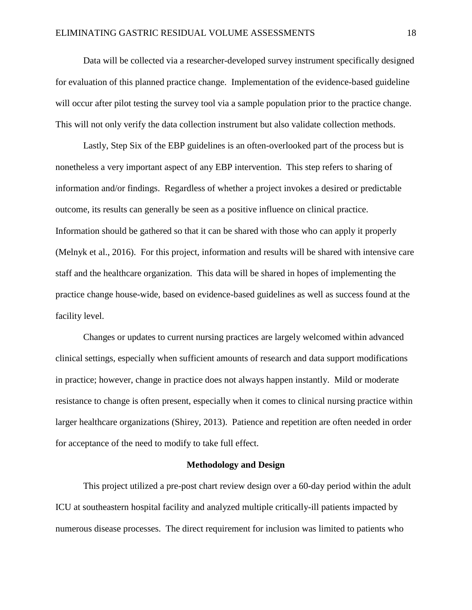Data will be collected via a researcher-developed survey instrument specifically designed for evaluation of this planned practice change. Implementation of the evidence-based guideline will occur after pilot testing the survey tool via a sample population prior to the practice change. This will not only verify the data collection instrument but also validate collection methods.

Lastly, Step Six of the EBP guidelines is an often-overlooked part of the process but is nonetheless a very important aspect of any EBP intervention. This step refers to sharing of information and/or findings. Regardless of whether a project invokes a desired or predictable outcome, its results can generally be seen as a positive influence on clinical practice. Information should be gathered so that it can be shared with those who can apply it properly (Melnyk et al., 2016). For this project, information and results will be shared with intensive care staff and the healthcare organization. This data will be shared in hopes of implementing the practice change house-wide, based on evidence-based guidelines as well as success found at the facility level.

Changes or updates to current nursing practices are largely welcomed within advanced clinical settings, especially when sufficient amounts of research and data support modifications in practice; however, change in practice does not always happen instantly. Mild or moderate resistance to change is often present, especially when it comes to clinical nursing practice within larger healthcare organizations (Shirey, 2013). Patience and repetition are often needed in order for acceptance of the need to modify to take full effect.

#### **Methodology and Design**

This project utilized a pre-post chart review design over a 60-day period within the adult ICU at southeastern hospital facility and analyzed multiple critically-ill patients impacted by numerous disease processes. The direct requirement for inclusion was limited to patients who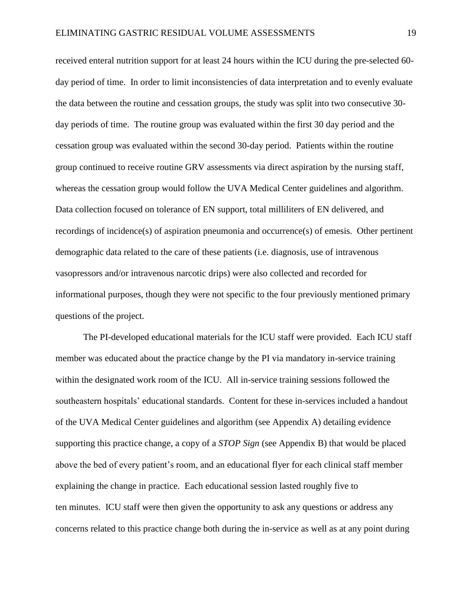received enteral nutrition support for at least 24 hours within the ICU during the pre-selected 60 day period of time. In order to limit inconsistencies of data interpretation and to evenly evaluate the data between the routine and cessation groups, the study was split into two consecutive 30 day periods of time. The routine group was evaluated within the first 30 day period and the cessation group was evaluated within the second 30-day period. Patients within the routine group continued to receive routine GRV assessments via direct aspiration by the nursing staff, whereas the cessation group would follow the UVA Medical Center guidelines and algorithm. Data collection focused on tolerance of EN support, total milliliters of EN delivered, and recordings of incidence(s) of aspiration pneumonia and occurrence(s) of emesis. Other pertinent demographic data related to the care of these patients (i.e. diagnosis, use of intravenous vasopressors and/or intravenous narcotic drips) were also collected and recorded for informational purposes, though they were not specific to the four previously mentioned primary questions of the project.

The PI-developed educational materials for the ICU staff were provided. Each ICU staff member was educated about the practice change by the PI via mandatory in-service training within the designated work room of the ICU. All in-service training sessions followed the southeastern hospitals' educational standards. Content for these in-services included a handout of the UVA Medical Center guidelines and algorithm (see Appendix A) detailing evidence supporting this practice change, a copy of a *STOP Sign* (see Appendix B) that would be placed above the bed of every patient's room, and an educational flyer for each clinical staff member explaining the change in practice. Each educational session lasted roughly five to ten minutes. ICU staff were then given the opportunity to ask any questions or address any concerns related to this practice change both during the in-service as well as at any point during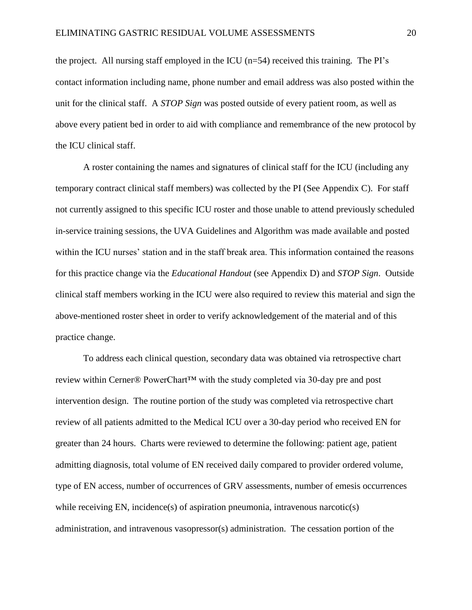the project. All nursing staff employed in the ICU  $(n=54)$  received this training. The PI's contact information including name, phone number and email address was also posted within the unit for the clinical staff. A *STOP Sign* was posted outside of every patient room, as well as above every patient bed in order to aid with compliance and remembrance of the new protocol by the ICU clinical staff.

A roster containing the names and signatures of clinical staff for the ICU (including any temporary contract clinical staff members) was collected by the PI (See Appendix C). For staff not currently assigned to this specific ICU roster and those unable to attend previously scheduled in-service training sessions, the UVA Guidelines and Algorithm was made available and posted within the ICU nurses' station and in the staff break area. This information contained the reasons for this practice change via the *Educational Handout* (see Appendix D) and *STOP Sign*. Outside clinical staff members working in the ICU were also required to review this material and sign the above-mentioned roster sheet in order to verify acknowledgement of the material and of this practice change.

To address each clinical question, secondary data was obtained via retrospective chart review within Cerner® PowerChart™ with the study completed via 30-day pre and post intervention design. The routine portion of the study was completed via retrospective chart review of all patients admitted to the Medical ICU over a 30-day period who received EN for greater than 24 hours. Charts were reviewed to determine the following: patient age, patient admitting diagnosis, total volume of EN received daily compared to provider ordered volume, type of EN access, number of occurrences of GRV assessments, number of emesis occurrences while receiving EN, incidence(s) of aspiration pneumonia, intravenous narcotic(s) administration, and intravenous vasopressor(s) administration. The cessation portion of the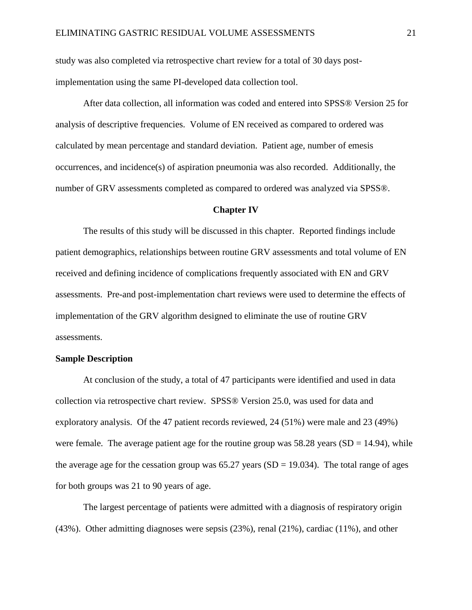study was also completed via retrospective chart review for a total of 30 days postimplementation using the same PI-developed data collection tool.

After data collection, all information was coded and entered into SPSS® Version 25 for analysis of descriptive frequencies. Volume of EN received as compared to ordered was calculated by mean percentage and standard deviation. Patient age, number of emesis occurrences, and incidence(s) of aspiration pneumonia was also recorded. Additionally, the number of GRV assessments completed as compared to ordered was analyzed via SPSS®.

#### **Chapter IV**

The results of this study will be discussed in this chapter. Reported findings include patient demographics, relationships between routine GRV assessments and total volume of EN received and defining incidence of complications frequently associated with EN and GRV assessments. Pre-and post-implementation chart reviews were used to determine the effects of implementation of the GRV algorithm designed to eliminate the use of routine GRV assessments.

#### **Sample Description**

At conclusion of the study, a total of 47 participants were identified and used in data collection via retrospective chart review. SPSS® Version 25.0, was used for data and exploratory analysis. Of the 47 patient records reviewed, 24 (51%) were male and 23 (49%) were female. The average patient age for the routine group was  $58.28$  years (SD = 14.94), while the average age for the cessation group was  $65.27$  years (SD = 19.034). The total range of ages for both groups was 21 to 90 years of age.

The largest percentage of patients were admitted with a diagnosis of respiratory origin (43%). Other admitting diagnoses were sepsis (23%), renal (21%), cardiac (11%), and other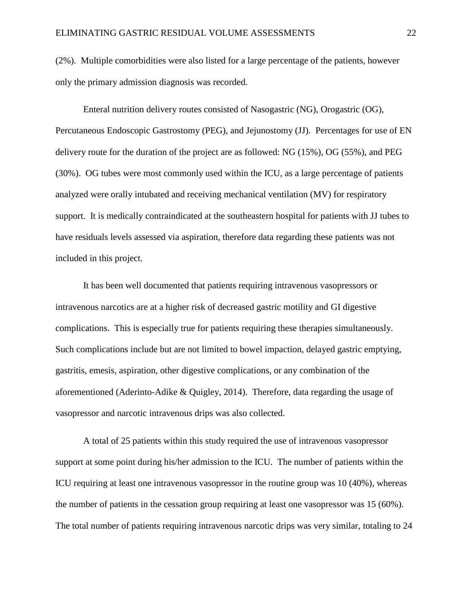(2%). Multiple comorbidities were also listed for a large percentage of the patients, however only the primary admission diagnosis was recorded.

Enteral nutrition delivery routes consisted of Nasogastric (NG), Orogastric (OG), Percutaneous Endoscopic Gastrostomy (PEG), and Jejunostomy (JJ). Percentages for use of EN delivery route for the duration of the project are as followed: NG (15%), OG (55%), and PEG (30%). OG tubes were most commonly used within the ICU, as a large percentage of patients analyzed were orally intubated and receiving mechanical ventilation (MV) for respiratory support. It is medically contraindicated at the southeastern hospital for patients with JJ tubes to have residuals levels assessed via aspiration, therefore data regarding these patients was not included in this project.

It has been well documented that patients requiring intravenous vasopressors or intravenous narcotics are at a higher risk of decreased gastric motility and GI digestive complications. This is especially true for patients requiring these therapies simultaneously. Such complications include but are not limited to bowel impaction, delayed gastric emptying, gastritis, emesis, aspiration, other digestive complications, or any combination of the aforementioned (Aderinto-Adike & Quigley, 2014). Therefore, data regarding the usage of vasopressor and narcotic intravenous drips was also collected.

A total of 25 patients within this study required the use of intravenous vasopressor support at some point during his/her admission to the ICU. The number of patients within the ICU requiring at least one intravenous vasopressor in the routine group was 10 (40%), whereas the number of patients in the cessation group requiring at least one vasopressor was 15 (60%). The total number of patients requiring intravenous narcotic drips was very similar, totaling to 24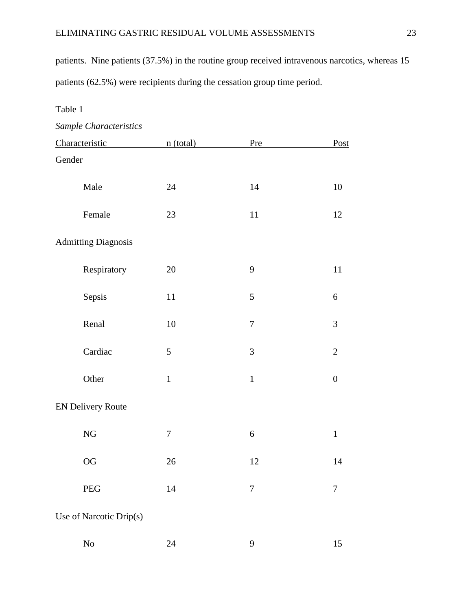patients. Nine patients (37.5%) in the routine group received intravenous narcotics, whereas 15 patients (62.5%) were recipients during the cessation group time period.

#### Table 1

*Sample Characteristics*

| Characteristic             | n (total)   | Pre              | Post             |
|----------------------------|-------------|------------------|------------------|
| Gender                     |             |                  |                  |
| Male                       | 24          | 14               | 10               |
| Female                     | 23          | 11               | 12               |
| <b>Admitting Diagnosis</b> |             |                  |                  |
| Respiratory                | 20          | 9                | 11               |
| Sepsis                     | 11          | 5                | $\sqrt{6}$       |
| Renal                      | $10\,$      | $\boldsymbol{7}$ | 3                |
| Cardiac                    | 5           | $\mathfrak{Z}$   | $\mathbf{2}$     |
| Other                      | $\mathbf 1$ | $\mathbf 1$      | $\boldsymbol{0}$ |
| <b>EN Delivery Route</b>   |             |                  |                  |
| ${\rm NG}$                 | $\tau$      | 6                | $\,1$            |
| $\rm OG$                   | 26          | 12               | 14               |
| PEG                        | 14          | 7                | 7                |
| Use of Narcotic Drip(s)    |             |                  |                  |
| $\rm No$                   | 24          | 9                | 15               |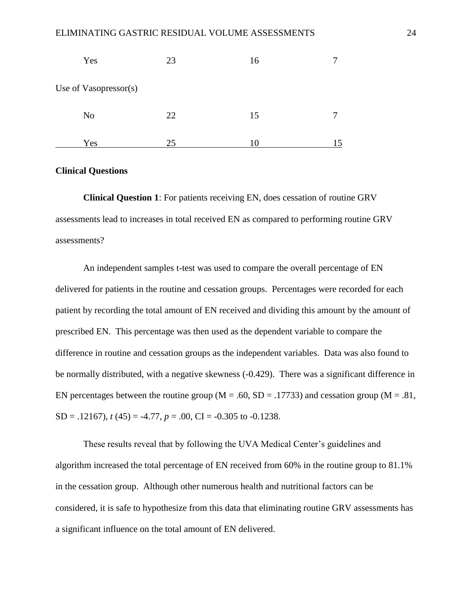| Yes                   | 23 | 16 |  |
|-----------------------|----|----|--|
| Use of Vasopressor(s) |    |    |  |
| N <sub>o</sub>        | 22 | 15 |  |
| Yes                   | 25 |    |  |

#### **Clinical Questions**

**Clinical Question 1**: For patients receiving EN, does cessation of routine GRV assessments lead to increases in total received EN as compared to performing routine GRV assessments?

An independent samples t-test was used to compare the overall percentage of EN delivered for patients in the routine and cessation groups. Percentages were recorded for each patient by recording the total amount of EN received and dividing this amount by the amount of prescribed EN. This percentage was then used as the dependent variable to compare the difference in routine and cessation groups as the independent variables. Data was also found to be normally distributed, with a negative skewness (-0.429). There was a significant difference in EN percentages between the routine group ( $M = .60$ ,  $SD = .17733$ ) and cessation group ( $M = .81$ ,  $SD = .12167$ ,  $t(45) = -4.77$ ,  $p = .00$ ,  $CI = -0.305$  to  $-0.1238$ .

These results reveal that by following the UVA Medical Center's guidelines and algorithm increased the total percentage of EN received from 60% in the routine group to 81.1% in the cessation group. Although other numerous health and nutritional factors can be considered, it is safe to hypothesize from this data that eliminating routine GRV assessments has a significant influence on the total amount of EN delivered.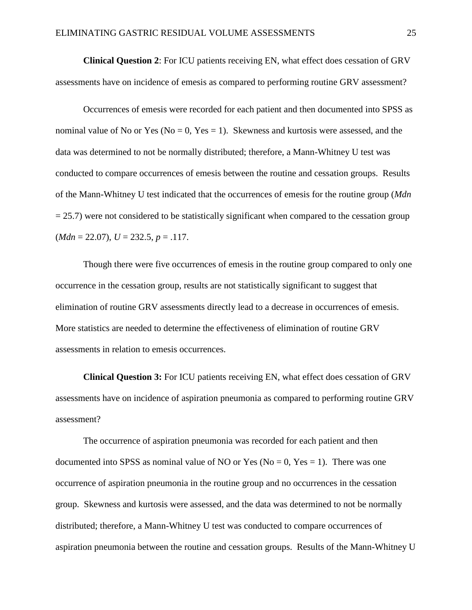**Clinical Question 2**: For ICU patients receiving EN, what effect does cessation of GRV assessments have on incidence of emesis as compared to performing routine GRV assessment?

Occurrences of emesis were recorded for each patient and then documented into SPSS as nominal value of No or Yes ( $No = 0$ , Yes = 1). Skewness and kurtosis were assessed, and the data was determined to not be normally distributed; therefore, a Mann-Whitney U test was conducted to compare occurrences of emesis between the routine and cessation groups. Results of the Mann-Whitney U test indicated that the occurrences of emesis for the routine group (*Mdn*  $= 25.7$ ) were not considered to be statistically significant when compared to the cessation group (*Mdn* = 22.07), *U* = 232.5, *p* = .117.

Though there were five occurrences of emesis in the routine group compared to only one occurrence in the cessation group, results are not statistically significant to suggest that elimination of routine GRV assessments directly lead to a decrease in occurrences of emesis. More statistics are needed to determine the effectiveness of elimination of routine GRV assessments in relation to emesis occurrences.

**Clinical Question 3:** For ICU patients receiving EN, what effect does cessation of GRV assessments have on incidence of aspiration pneumonia as compared to performing routine GRV assessment?

The occurrence of aspiration pneumonia was recorded for each patient and then documented into SPSS as nominal value of NO or Yes ( $No = 0$ , Yes = 1). There was one occurrence of aspiration pneumonia in the routine group and no occurrences in the cessation group. Skewness and kurtosis were assessed, and the data was determined to not be normally distributed; therefore, a Mann-Whitney U test was conducted to compare occurrences of aspiration pneumonia between the routine and cessation groups. Results of the Mann-Whitney U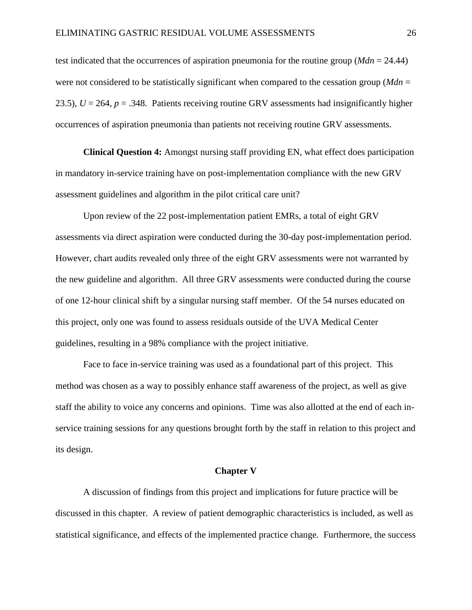test indicated that the occurrences of aspiration pneumonia for the routine group (*Mdn* = 24.44) were not considered to be statistically significant when compared to the cessation group (*Mdn* = 23.5),  $U = 264$ ,  $p = .348$ . Patients receiving routine GRV assessments had insignificantly higher occurrences of aspiration pneumonia than patients not receiving routine GRV assessments.

**Clinical Question 4:** Amongst nursing staff providing EN, what effect does participation in mandatory in-service training have on post-implementation compliance with the new GRV assessment guidelines and algorithm in the pilot critical care unit?

Upon review of the 22 post-implementation patient EMRs, a total of eight GRV assessments via direct aspiration were conducted during the 30-day post-implementation period. However, chart audits revealed only three of the eight GRV assessments were not warranted by the new guideline and algorithm. All three GRV assessments were conducted during the course of one 12-hour clinical shift by a singular nursing staff member. Of the 54 nurses educated on this project, only one was found to assess residuals outside of the UVA Medical Center guidelines, resulting in a 98% compliance with the project initiative.

Face to face in-service training was used as a foundational part of this project. This method was chosen as a way to possibly enhance staff awareness of the project, as well as give staff the ability to voice any concerns and opinions. Time was also allotted at the end of each inservice training sessions for any questions brought forth by the staff in relation to this project and its design.

#### **Chapter V**

A discussion of findings from this project and implications for future practice will be discussed in this chapter. A review of patient demographic characteristics is included, as well as statistical significance, and effects of the implemented practice change. Furthermore, the success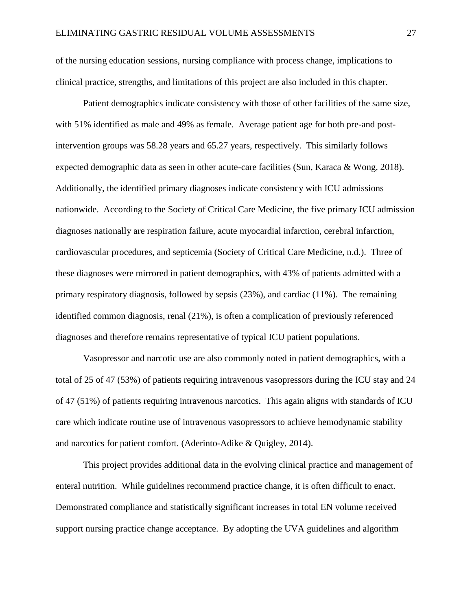of the nursing education sessions, nursing compliance with process change, implications to clinical practice, strengths, and limitations of this project are also included in this chapter.

Patient demographics indicate consistency with those of other facilities of the same size, with 51% identified as male and 49% as female. Average patient age for both pre-and postintervention groups was 58.28 years and 65.27 years, respectively. This similarly follows expected demographic data as seen in other acute-care facilities (Sun, Karaca & Wong, 2018). Additionally, the identified primary diagnoses indicate consistency with ICU admissions nationwide. According to the Society of Critical Care Medicine, the five primary ICU admission diagnoses nationally are respiration failure, acute myocardial infarction, cerebral infarction, cardiovascular procedures, and septicemia (Society of Critical Care Medicine, n.d.). Three of these diagnoses were mirrored in patient demographics, with 43% of patients admitted with a primary respiratory diagnosis, followed by sepsis (23%), and cardiac (11%). The remaining identified common diagnosis, renal (21%), is often a complication of previously referenced diagnoses and therefore remains representative of typical ICU patient populations.

Vasopressor and narcotic use are also commonly noted in patient demographics, with a total of 25 of 47 (53%) of patients requiring intravenous vasopressors during the ICU stay and 24 of 47 (51%) of patients requiring intravenous narcotics. This again aligns with standards of ICU care which indicate routine use of intravenous vasopressors to achieve hemodynamic stability and narcotics for patient comfort. (Aderinto-Adike & Quigley, 2014).

This project provides additional data in the evolving clinical practice and management of enteral nutrition. While guidelines recommend practice change, it is often difficult to enact. Demonstrated compliance and statistically significant increases in total EN volume received support nursing practice change acceptance. By adopting the UVA guidelines and algorithm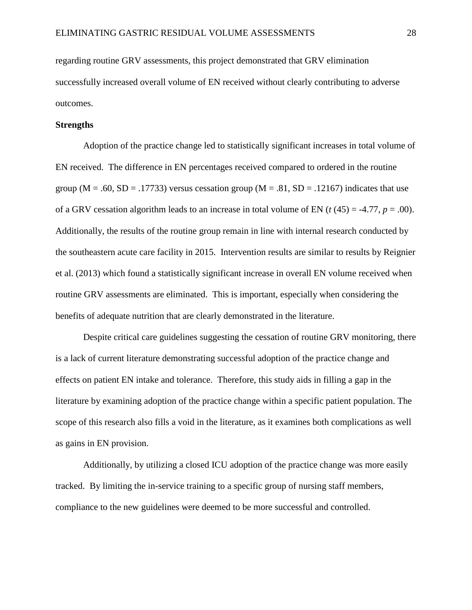regarding routine GRV assessments, this project demonstrated that GRV elimination successfully increased overall volume of EN received without clearly contributing to adverse outcomes.

#### **Strengths**

Adoption of the practice change led to statistically significant increases in total volume of EN received. The difference in EN percentages received compared to ordered in the routine group ( $M = .60$ ,  $SD = .17733$ ) versus cessation group ( $M = .81$ ,  $SD = .12167$ ) indicates that use of a GRV cessation algorithm leads to an increase in total volume of EN ( $t$  (45) = -4.77,  $p = .00$ ). Additionally, the results of the routine group remain in line with internal research conducted by the southeastern acute care facility in 2015. Intervention results are similar to results by Reignier et al. (2013) which found a statistically significant increase in overall EN volume received when routine GRV assessments are eliminated. This is important, especially when considering the benefits of adequate nutrition that are clearly demonstrated in the literature.

Despite critical care guidelines suggesting the cessation of routine GRV monitoring, there is a lack of current literature demonstrating successful adoption of the practice change and effects on patient EN intake and tolerance. Therefore, this study aids in filling a gap in the literature by examining adoption of the practice change within a specific patient population. The scope of this research also fills a void in the literature, as it examines both complications as well as gains in EN provision.

Additionally, by utilizing a closed ICU adoption of the practice change was more easily tracked. By limiting the in-service training to a specific group of nursing staff members, compliance to the new guidelines were deemed to be more successful and controlled.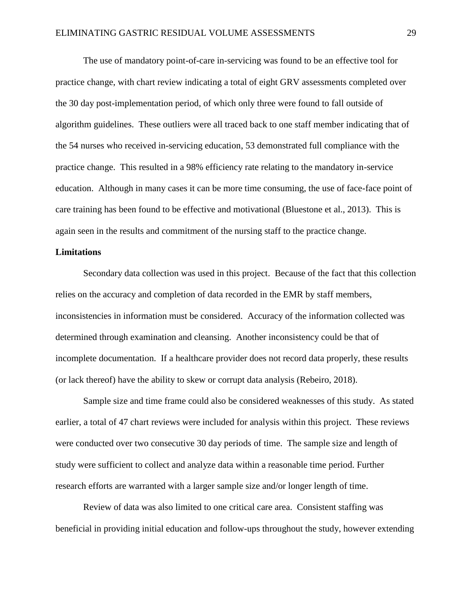The use of mandatory point-of-care in-servicing was found to be an effective tool for practice change, with chart review indicating a total of eight GRV assessments completed over the 30 day post-implementation period, of which only three were found to fall outside of algorithm guidelines. These outliers were all traced back to one staff member indicating that of the 54 nurses who received in-servicing education, 53 demonstrated full compliance with the practice change. This resulted in a 98% efficiency rate relating to the mandatory in-service education. Although in many cases it can be more time consuming, the use of face-face point of care training has been found to be effective and motivational (Bluestone et al., 2013). This is again seen in the results and commitment of the nursing staff to the practice change.

#### **Limitations**

Secondary data collection was used in this project. Because of the fact that this collection relies on the accuracy and completion of data recorded in the EMR by staff members, inconsistencies in information must be considered. Accuracy of the information collected was determined through examination and cleansing. Another inconsistency could be that of incomplete documentation. If a healthcare provider does not record data properly, these results (or lack thereof) have the ability to skew or corrupt data analysis (Rebeiro, 2018).

Sample size and time frame could also be considered weaknesses of this study. As stated earlier, a total of 47 chart reviews were included for analysis within this project. These reviews were conducted over two consecutive 30 day periods of time. The sample size and length of study were sufficient to collect and analyze data within a reasonable time period. Further research efforts are warranted with a larger sample size and/or longer length of time.

Review of data was also limited to one critical care area. Consistent staffing was beneficial in providing initial education and follow-ups throughout the study, however extending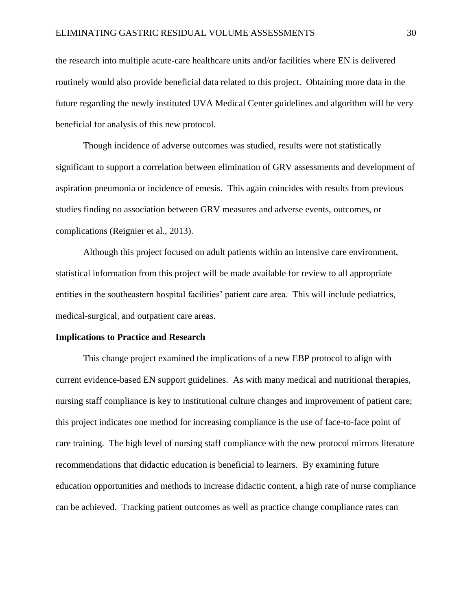the research into multiple acute-care healthcare units and/or facilities where EN is delivered routinely would also provide beneficial data related to this project. Obtaining more data in the future regarding the newly instituted UVA Medical Center guidelines and algorithm will be very beneficial for analysis of this new protocol.

Though incidence of adverse outcomes was studied, results were not statistically significant to support a correlation between elimination of GRV assessments and development of aspiration pneumonia or incidence of emesis. This again coincides with results from previous studies finding no association between GRV measures and adverse events, outcomes, or complications (Reignier et al., 2013).

Although this project focused on adult patients within an intensive care environment, statistical information from this project will be made available for review to all appropriate entities in the southeastern hospital facilities' patient care area. This will include pediatrics, medical-surgical, and outpatient care areas.

#### **Implications to Practice and Research**

This change project examined the implications of a new EBP protocol to align with current evidence-based EN support guidelines. As with many medical and nutritional therapies, nursing staff compliance is key to institutional culture changes and improvement of patient care; this project indicates one method for increasing compliance is the use of face-to-face point of care training. The high level of nursing staff compliance with the new protocol mirrors literature recommendations that didactic education is beneficial to learners. By examining future education opportunities and methods to increase didactic content, a high rate of nurse compliance can be achieved. Tracking patient outcomes as well as practice change compliance rates can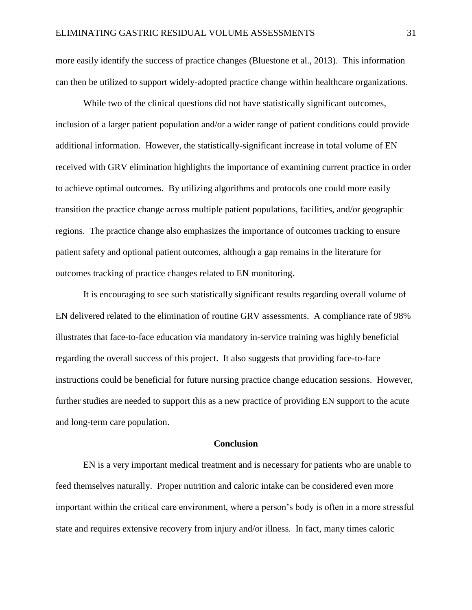more easily identify the success of practice changes (Bluestone et al., 2013). This information can then be utilized to support widely-adopted practice change within healthcare organizations.

While two of the clinical questions did not have statistically significant outcomes, inclusion of a larger patient population and/or a wider range of patient conditions could provide additional information. However, the statistically-significant increase in total volume of EN received with GRV elimination highlights the importance of examining current practice in order to achieve optimal outcomes. By utilizing algorithms and protocols one could more easily transition the practice change across multiple patient populations, facilities, and/or geographic regions. The practice change also emphasizes the importance of outcomes tracking to ensure patient safety and optional patient outcomes, although a gap remains in the literature for outcomes tracking of practice changes related to EN monitoring.

It is encouraging to see such statistically significant results regarding overall volume of EN delivered related to the elimination of routine GRV assessments. A compliance rate of 98% illustrates that face-to-face education via mandatory in-service training was highly beneficial regarding the overall success of this project. It also suggests that providing face-to-face instructions could be beneficial for future nursing practice change education sessions. However, further studies are needed to support this as a new practice of providing EN support to the acute and long-term care population.

#### **Conclusion**

EN is a very important medical treatment and is necessary for patients who are unable to feed themselves naturally. Proper nutrition and caloric intake can be considered even more important within the critical care environment, where a person's body is often in a more stressful state and requires extensive recovery from injury and/or illness. In fact, many times caloric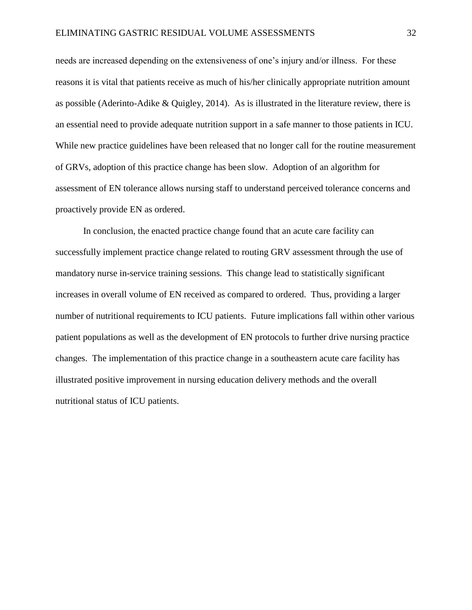needs are increased depending on the extensiveness of one's injury and/or illness. For these reasons it is vital that patients receive as much of his/her clinically appropriate nutrition amount as possible (Aderinto-Adike & Quigley, 2014). As is illustrated in the literature review, there is an essential need to provide adequate nutrition support in a safe manner to those patients in ICU. While new practice guidelines have been released that no longer call for the routine measurement of GRVs, adoption of this practice change has been slow. Adoption of an algorithm for assessment of EN tolerance allows nursing staff to understand perceived tolerance concerns and proactively provide EN as ordered.

In conclusion, the enacted practice change found that an acute care facility can successfully implement practice change related to routing GRV assessment through the use of mandatory nurse in-service training sessions. This change lead to statistically significant increases in overall volume of EN received as compared to ordered. Thus, providing a larger number of nutritional requirements to ICU patients. Future implications fall within other various patient populations as well as the development of EN protocols to further drive nursing practice changes. The implementation of this practice change in a southeastern acute care facility has illustrated positive improvement in nursing education delivery methods and the overall nutritional status of ICU patients.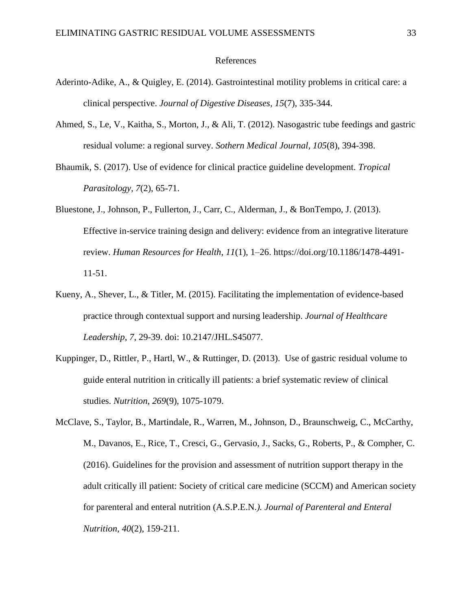#### References

- Aderinto-Adike, A., & Quigley, E. (2014). Gastrointestinal motility problems in critical care: a clinical perspective. *Journal of Digestive Diseases, 15*(7), 335-344.
- Ahmed, S., Le, V., Kaitha, S., Morton, J., & Ali, T. (2012). Nasogastric tube feedings and gastric residual volume: a regional survey. *Sothern Medical Journal, 105*(8), 394-398.
- Bhaumik, S. (2017). Use of evidence for clinical practice guideline development. *Tropical Parasitology, 7*(2), 65-71.
- Bluestone, J., Johnson, P., Fullerton, J., Carr, C., Alderman, J., & BonTempo, J. (2013). Effective in-service training design and delivery: evidence from an integrative literature review. *Human Resources for Health*, *11*(1), 1–26. https://doi.org/10.1186/1478-4491- 11-51.
- Kueny, A., Shever, L., & Titler, M. (2015). Facilitating the implementation of evidence-based practice through contextual support and nursing leadership. *Journal of Healthcare Leadership, 7*, 29-39. doi: 10.2147/JHL.S45077.
- Kuppinger, D., Rittler, P., Hartl, W., & Ruttinger, D. (2013). Use of gastric residual volume to guide enteral nutrition in critically ill patients: a brief systematic review of clinical studies. *Nutrition, 269*(9), 1075-1079.
- McClave, S., Taylor, B., Martindale, R., Warren, M., Johnson, D., Braunschweig, C., McCarthy, M., Davanos, E., Rice, T., Cresci, G., Gervasio, J., Sacks, G., Roberts, P., & Compher, C. (2016). Guidelines for the provision and assessment of nutrition support therapy in the adult critically ill patient: Society of critical care medicine (SCCM) and American society for parenteral and enteral nutrition (A.S.P.E.N*.). Journal of Parenteral and Enteral Nutrition, 40*(2), 159-211.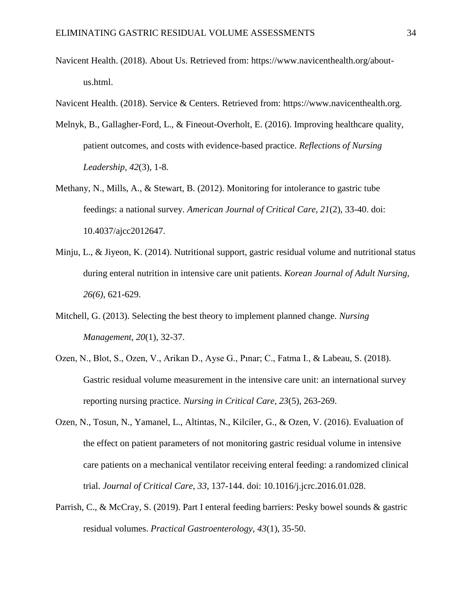- Navicent Health. (2018). About Us. Retrieved from: https://www.navicenthealth.org/aboutus.html.
- Navicent Health. (2018). Service & Centers. Retrieved from: [https://www.navicenthealth.org.](https://www.navicenthealth.org/)
- Melnyk, B., Gallagher-Ford, L., & Fineout-Overholt, E. (2016). Improving healthcare quality, patient outcomes, and costs with evidence-based practice. *Reflections of Nursing Leadership, 42*(3), 1-8.
- Methany, N., Mills, A., & Stewart, B. (2012). Monitoring for intolerance to gastric tube feedings: a national survey. *American Journal of Critical Care, 21*(2), 33-40. doi: 10.4037/ajcc2012647.
- Minju, L., & Jiyeon, K. (2014). Nutritional support, gastric residual volume and nutritional status during enteral nutrition in intensive care unit patients. *Korean Journal of Adult Nursing, 26(6)*, 621-629.
- Mitchell, G. (2013). Selecting the best theory to implement planned change. *Nursing Management, 20*(1), 32-37.
- Ozen, N., Blot, S., Ozen, V., Arikan D., Ayse G., Pınar; C., Fatma I., & Labeau, S. (2018). Gastric residual volume measurement in the intensive care unit: an international survey reporting nursing practice. *Nursing in Critical Care, 23*(5), 263-269.
- Ozen, N., Tosun, N., Yamanel, L., Altintas, N., Kilciler, G., & Ozen, V. (2016). Evaluation of the effect on patient parameters of not monitoring gastric residual volume in intensive care patients on a mechanical ventilator receiving enteral feeding: a randomized clinical trial. *Journal of Critical Care, 33*, 137-144. doi: 10.1016/j.jcrc.2016.01.028.
- Parrish, C., & McCray, S. (2019). Part I enteral feeding barriers: Pesky bowel sounds & gastric residual volumes. *Practical Gastroenterology, 43*(1), 35-50.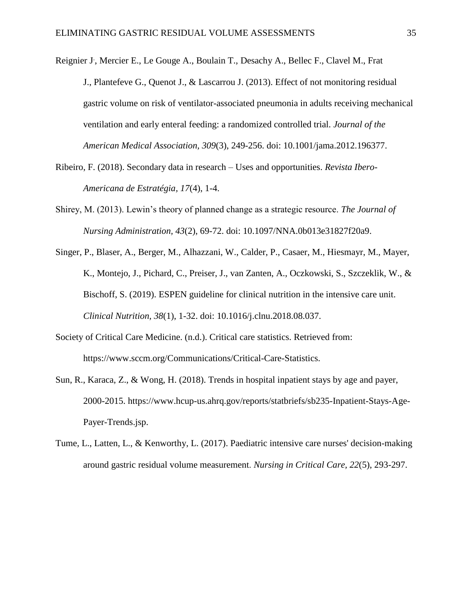[Reignier J](https://www.ncbi.nlm.nih.gov/pubmed/?term=Reignier%20J%5BAuthor%5D&cauthor=true&cauthor_uid=23321763)., [Mercier E.](https://www.ncbi.nlm.nih.gov/pubmed/?term=Mercier%20E%5BAuthor%5D&cauthor=true&cauthor_uid=23321763), [Le Gouge A.](https://www.ncbi.nlm.nih.gov/pubmed/?term=Le%20Gouge%20A%5BAuthor%5D&cauthor=true&cauthor_uid=23321763), [Boulain T.](https://www.ncbi.nlm.nih.gov/pubmed/?term=Boulain%20T%5BAuthor%5D&cauthor=true&cauthor_uid=23321763), [Desachy A.](https://www.ncbi.nlm.nih.gov/pubmed/?term=Desachy%20A%5BAuthor%5D&cauthor=true&cauthor_uid=23321763), [Bellec F.](https://www.ncbi.nlm.nih.gov/pubmed/?term=Bellec%20F%5BAuthor%5D&cauthor=true&cauthor_uid=23321763), [Clavel M.](https://www.ncbi.nlm.nih.gov/pubmed/?term=Clavel%20M%5BAuthor%5D&cauthor=true&cauthor_uid=23321763), Frat [J.](https://www.ncbi.nlm.nih.gov/pubmed/?term=Frat%20JP%5BAuthor%5D&cauthor=true&cauthor_uid=23321763), [Plantefeve G.](https://www.ncbi.nlm.nih.gov/pubmed/?term=Plantefeve%20G%5BAuthor%5D&cauthor=true&cauthor_uid=23321763), [Quenot J.](https://www.ncbi.nlm.nih.gov/pubmed/?term=Quenot%20JP%5BAuthor%5D&cauthor=true&cauthor_uid=23321763), & [Lascarrou J.](https://www.ncbi.nlm.nih.gov/pubmed/?term=Lascarrou%20JB%5BAuthor%5D&cauthor=true&cauthor_uid=23321763) (2013). Effect of not monitoring residual gastric volume on risk of ventilator-associated pneumonia in adults receiving mechanical ventilation and early enteral feeding: a randomized controlled trial. *Journal of the American Medical Association, 309*(3), 249-256. doi: 10.1001/jama.2012.196377.

- Ribeiro, F. (2018). Secondary data in research Uses and opportunities. *Revista Ibero-Americana de Estratégia, 17*(4), 1-4.
- Shirey, M. (2013). Lewin's theory of planned change as a strategic resource. *The Journal of Nursing Administration, 43*(2), 69-72. doi: 10.1097/NNA.0b013e31827f20a9.
- Singer, P., Blaser, A., Berger, M., Alhazzani, W., Calder, P., Casaer, M., Hiesmayr, M., Mayer, K., Montejo, J., Pichard, C., Preiser, J., van Zanten, A., Oczkowski, S., Szczeklik, W., & Bischoff, S. (2019). ESPEN guideline for clinical nutrition in the intensive care unit. *Clinical Nutrition, 38*(1), 1-32. doi: 10.1016/j.clnu.2018.08.037.
- Society of Critical Care Medicine. (n.d.). Critical care statistics. Retrieved from: https://www.sccm.org/Communications/Critical-Care-Statistics.
- Sun, R., Karaca, Z., & Wong, H. (2018). Trends in hospital inpatient stays by age and payer, 2000-2015. https://www.hcup-us.ahrq.gov/reports/statbriefs/sb235-Inpatient-Stays-Age-Payer-Trends.jsp.
- Tume, L., Latten, L., & Kenworthy, L. (2017). Paediatric intensive care nurses' decision-making around gastric residual volume measurement. *Nursing in Critical Care, 22*(5), 293-297.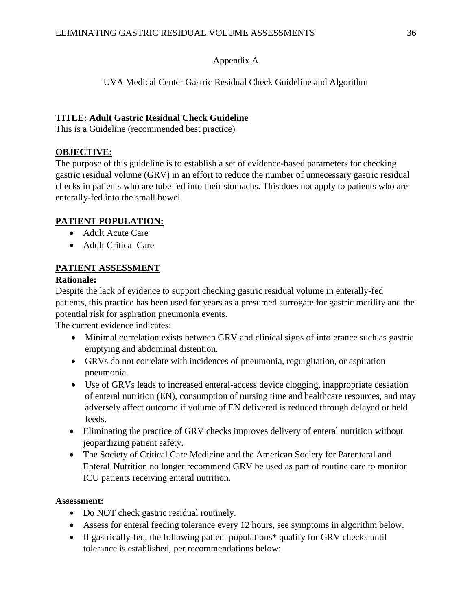#### Appendix A

#### UVA Medical Center Gastric Residual Check Guideline and Algorithm

#### **TITLE: Adult Gastric Residual Check Guideline**

This is a Guideline (recommended best practice)

#### **OBJECTIVE:**

The purpose of this guideline is to establish a set of evidence-based parameters for checking gastric residual volume (GRV) in an effort to reduce the number of unnecessary gastric residual checks in patients who are tube fed into their stomachs. This does not apply to patients who are enterally-fed into the small bowel.

#### **PATIENT POPULATION:**

- Adult Acute Care
- Adult Critical Care

#### **PATIENT ASSESSMENT**

#### **Rationale:**

Despite the lack of evidence to support checking gastric residual volume in enterally-fed patients, this practice has been used for years as a presumed surrogate for gastric motility and the potential risk for aspiration pneumonia events.

The current evidence indicates:

- Minimal correlation exists between GRV and clinical signs of intolerance such as gastric emptying and abdominal distention.
- GRVs do not correlate with incidences of pneumonia, regurgitation, or aspiration pneumonia.
- Use of GRVs leads to increased enteral-access device clogging, inappropriate cessation of enteral nutrition (EN), consumption of nursing time and healthcare resources, and may adversely affect outcome if volume of EN delivered is reduced through delayed or held feeds.
- Eliminating the practice of GRV checks improves delivery of enteral nutrition without jeopardizing patient safety.
- The Society of Critical Care Medicine and the American Society for Parenteral and Enteral Nutrition no longer recommend GRV be used as part of routine care to monitor ICU patients receiving enteral nutrition.

#### **Assessment:**

- Do NOT check gastric residual routinely.
- Assess for enteral feeding tolerance every 12 hours, see symptoms in algorithm below.
- If gastrically-fed, the following patient populations\* qualify for GRV checks until tolerance is established, per recommendations below: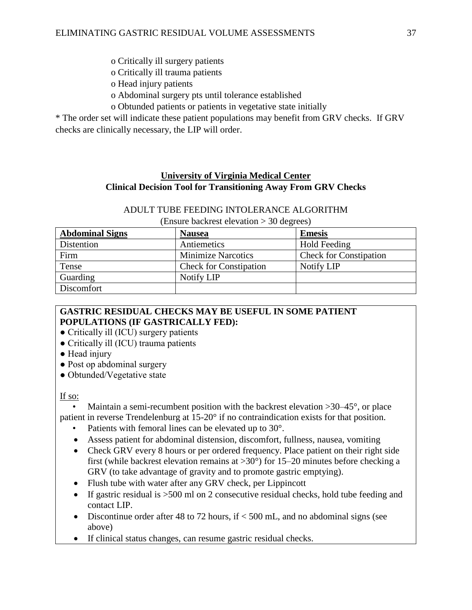- o Critically ill surgery patients
- o Critically ill trauma patients
- o Head injury patients
- o Abdominal surgery pts until tolerance established
- o Obtunded patients or patients in vegetative state initially

\* The order set will indicate these patient populations may benefit from GRV checks. If GRV checks are clinically necessary, the LIP will order.

#### **University of Virginia Medical Center Clinical Decision Tool for Transitioning Away From GRV Checks**

#### ADULT TUBE FEEDING INTOLERANCE ALGORITHM

(Ensure backrest elevation > 30 degrees)

| <b>Abdominal Signs</b> | <b>Nausea</b>                 | <b>Emesis</b>                 |
|------------------------|-------------------------------|-------------------------------|
| Distention             | Antiemetics                   | <b>Hold Feeding</b>           |
| Firm                   | <b>Minimize Narcotics</b>     | <b>Check for Constipation</b> |
| Tense                  | <b>Check for Constipation</b> | Notify LIP                    |
| Guarding               | Notify LIP                    |                               |
| Discomfort             |                               |                               |

#### **GASTRIC RESIDUAL CHECKS MAY BE USEFUL IN SOME PATIENT POPULATIONS (IF GASTRICALLY FED):**

- Critically ill (ICU) surgery patients
- Critically ill (ICU) trauma patients
- Head injury
- Post op abdominal surgery
- Obtunded/Vegetative state

#### If so:

Maintain a semi-recumbent position with the backrest elevation  $>30-45^{\circ}$ , or place patient in reverse Trendelenburg at 15-20° if no contraindication exists for that position.

- Patients with femoral lines can be elevated up to 30°.
- Assess patient for abdominal distension, discomfort, fullness, nausea, vomiting
- Check GRV every 8 hours or per ordered frequency. Place patient on their right side first (while backrest elevation remains at  $>30^{\circ}$ ) for 15–20 minutes before checking a GRV (to take advantage of gravity and to promote gastric emptying).
- Flush tube with water after any GRV check, per Lippincott
- If gastric residual is >500 ml on 2 consecutive residual checks, hold tube feeding and contact LIP.
- Discontinue order after 48 to 72 hours, if  $<$  500 mL, and no abdominal signs (see above)
- If clinical status changes, can resume gastric residual checks.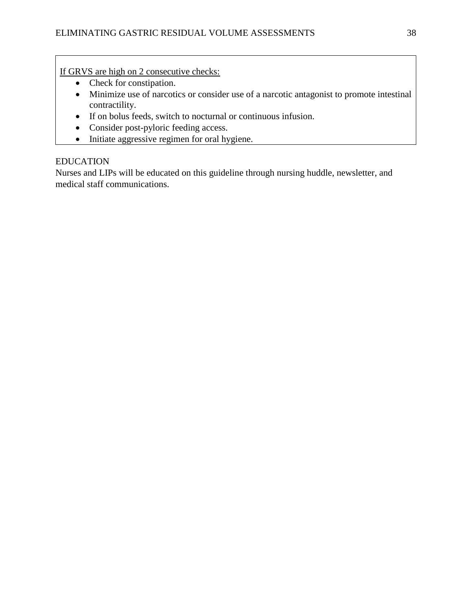If GRVS are high on 2 consecutive checks:

- Check for constipation.
- Minimize use of narcotics or consider use of a narcotic antagonist to promote intestinal contractility.
- If on bolus feeds, switch to nocturnal or continuous infusion.
- Consider post-pyloric feeding access.
- Initiate aggressive regimen for oral hygiene.

#### EDUCATION

Nurses and LIPs will be educated on this guideline through nursing huddle, newsletter, and medical staff communications.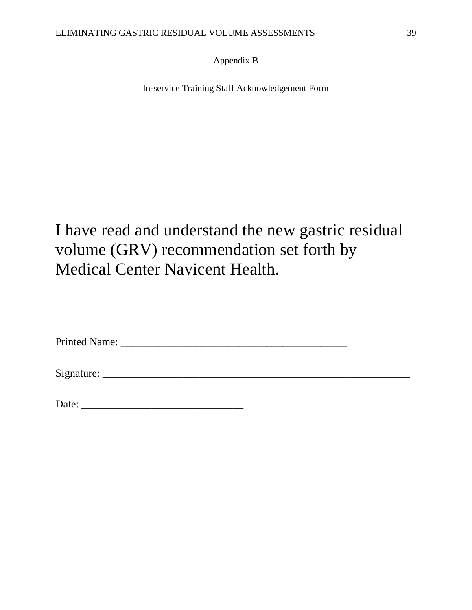#### Appendix B

In-service Training Staff Acknowledgement Form

## I have read and understand the new gastric residual volume (GRV) recommendation set forth by Medical Center Navicent Health.

| <b>Printed Name:</b> |  |  |
|----------------------|--|--|
|----------------------|--|--|

Signature: \_\_\_\_\_\_\_\_\_\_\_\_\_\_\_\_\_\_\_\_\_\_\_\_\_\_\_\_\_\_\_\_\_\_\_\_\_\_\_\_\_\_\_\_\_\_\_\_\_\_\_\_\_\_\_\_\_

| Date: |  |  |
|-------|--|--|
|       |  |  |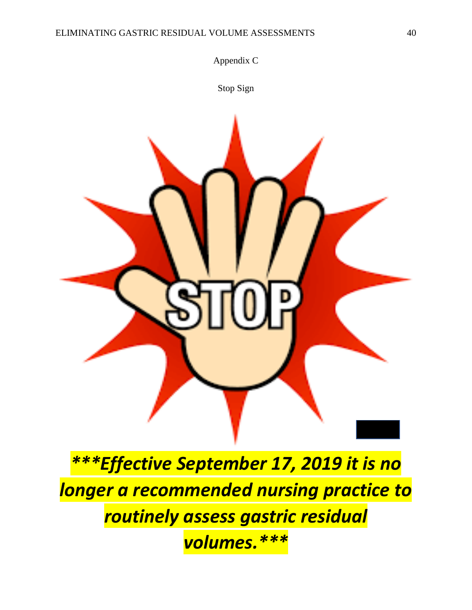

*\*\*\*Effective September 17, 2019 it is no longer a recommended nursing practice to routinely assess gastric residual volumes.\*\*\**